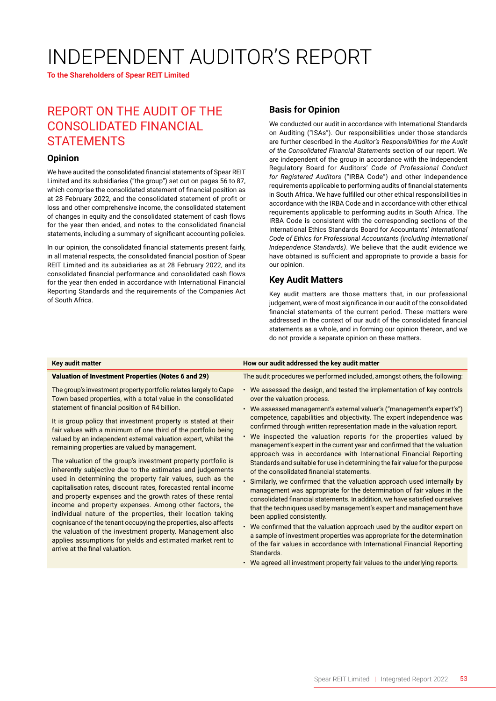# INDEPENDENT AUDITOR'S REPORT

**To the Shareholders of Spear REIT Limited**

## REPORT ON THE AUDIT OF THE CONSOLIDATED FINANCIAL **STATEMENTS**

### **Opinion**

We have audited the consolidated financial statements of Spear REIT Limited and its subsidiaries ("the group") set out on pages 56 to 87, which comprise the consolidated statement of financial position as at 28 February 2022, and the consolidated statement of profit or loss and other comprehensive income, the consolidated statement of changes in equity and the consolidated statement of cash flows for the year then ended, and notes to the consolidated financial statements, including a summary of significant accounting policies.

In our opinion, the consolidated financial statements present fairly, in all material respects, the consolidated financial position of Spear REIT Limited and its subsidiaries as at 28 February 2022, and its consolidated financial performance and consolidated cash flows for the year then ended in accordance with International Financial Reporting Standards and the requirements of the Companies Act of South Africa.

### **Basis for Opinion**

We conducted our audit in accordance with International Standards on Auditing ("ISAs"). Our responsibilities under those standards are further described in the *Auditor's Responsibilities for the Audit of the Consolidated Financial Statements* section of our report. We are independent of the group in accordance with the Independent Regulatory Board for Auditors' *Code of Professional Conduct for Registered Auditors* ("IRBA Code") and other independence requirements applicable to performing audits of financial statements in South Africa. We have fulfilled our other ethical responsibilities in accordance with the IRBA Code and in accordance with other ethical requirements applicable to performing audits in South Africa. The IRBA Code is consistent with the corresponding sections of the International Ethics Standards Board for Accountants' *International Code of Ethics for Professional Accountants (including International Independence Standards)*. We believe that the audit evidence we have obtained is sufficient and appropriate to provide a basis for our opinion.

### **Key Audit Matters**

Key audit matters are those matters that, in our professional judgement, were of most significance in our audit of the consolidated financial statements of the current period. These matters were addressed in the context of our audit of the consolidated financial statements as a whole, and in forming our opinion thereon, and we do not provide a separate opinion on these matters.

| Key audit matter                                                                                                                                                                                                                                                                                                                                                                                                                                                                                                                                                                                                                                                                                                                                                                                                                                                                                                                                                                                                                                                                                                                 | How our audit addressed the key audit matter                                                                                                                                                                                                                                                                                                                                                                                                                                                                                                                                                                                                                                                                                                                                                                                                                                                                                                                                                                                                                                                                                                                                                                                                                                                                                                               |
|----------------------------------------------------------------------------------------------------------------------------------------------------------------------------------------------------------------------------------------------------------------------------------------------------------------------------------------------------------------------------------------------------------------------------------------------------------------------------------------------------------------------------------------------------------------------------------------------------------------------------------------------------------------------------------------------------------------------------------------------------------------------------------------------------------------------------------------------------------------------------------------------------------------------------------------------------------------------------------------------------------------------------------------------------------------------------------------------------------------------------------|------------------------------------------------------------------------------------------------------------------------------------------------------------------------------------------------------------------------------------------------------------------------------------------------------------------------------------------------------------------------------------------------------------------------------------------------------------------------------------------------------------------------------------------------------------------------------------------------------------------------------------------------------------------------------------------------------------------------------------------------------------------------------------------------------------------------------------------------------------------------------------------------------------------------------------------------------------------------------------------------------------------------------------------------------------------------------------------------------------------------------------------------------------------------------------------------------------------------------------------------------------------------------------------------------------------------------------------------------------|
| <b>Valuation of Investment Properties (Notes 6 and 29)</b>                                                                                                                                                                                                                                                                                                                                                                                                                                                                                                                                                                                                                                                                                                                                                                                                                                                                                                                                                                                                                                                                       | The audit procedures we performed included, amongst others, the following:                                                                                                                                                                                                                                                                                                                                                                                                                                                                                                                                                                                                                                                                                                                                                                                                                                                                                                                                                                                                                                                                                                                                                                                                                                                                                 |
| The group's investment property portfolio relates largely to Cape<br>Town based properties, with a total value in the consolidated<br>statement of financial position of R4 billion.<br>It is group policy that investment property is stated at their<br>fair values with a minimum of one third of the portfolio being<br>valued by an independent external valuation expert, whilst the<br>remaining properties are valued by management.<br>The valuation of the group's investment property portfolio is<br>inherently subjective due to the estimates and judgements<br>used in determining the property fair values, such as the<br>capitalisation rates, discount rates, forecasted rental income<br>and property expenses and the growth rates of these rental<br>income and property expenses. Among other factors, the<br>individual nature of the properties, their location taking<br>cognisance of the tenant occupying the properties, also affects<br>the valuation of the investment property. Management also<br>applies assumptions for yields and estimated market rent to<br>arrive at the final valuation. | • We assessed the design, and tested the implementation of key controls<br>over the valuation process.<br>• We assessed management's external valuer's ("management's expert's")<br>competence, capabilities and objectivity. The expert independence was<br>confirmed through written representation made in the valuation report.<br>We inspected the valuation reports for the properties valued by<br>management's expert in the current year and confirmed that the valuation<br>approach was in accordance with International Financial Reporting<br>Standards and suitable for use in determining the fair value for the purpose<br>of the consolidated financial statements.<br>Similarly, we confirmed that the valuation approach used internally by<br>management was appropriate for the determination of fair values in the<br>consolidated financial statements. In addition, we have satisfied ourselves<br>that the techniques used by management's expert and management have<br>been applied consistently.<br>• We confirmed that the valuation approach used by the auditor expert on<br>a sample of investment properties was appropriate for the determination<br>of the fair values in accordance with International Financial Reporting<br>Standards.<br>• We agreed all investment property fair values to the underlying reports. |